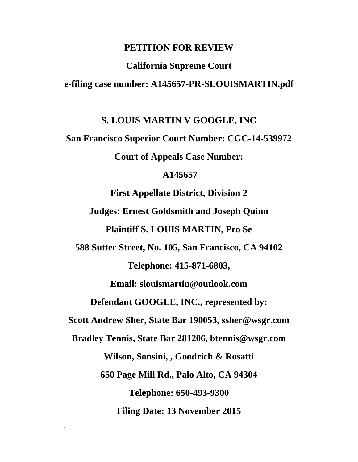#### **PETITION FOR REVIEW**

# **California Supreme Court e-filing case number: A145657-PR-SLOUISMARTIN.pdf**

#### **S. LOUIS MARTIN V GOOGLE, INC**

**San Francisco Superior Court Number: CGC-14-539972 Court of Appeals Case Number:**

#### **A145657**

**First Appellate District, Division 2 Judges: Ernest Goldsmith and Joseph Quinn Plaintiff S. LOUIS MARTIN, Pro Se 588 Sutter Street, No. 105, San Francisco, CA 94102 Telephone: 415-871-6803, Email: slouismartin@outlook.com Defendant GOOGLE, INC., represented by: Scott Andrew Sher, State Bar 190053, ssher@wsgr.com Bradley Tennis, State Bar 281206, btennis@wsgr.com Wilson, Sonsini, , Goodrich & Rosatti 650 Page Mill Rd., Palo Alto, CA 94304 Telephone: 650-493-9300 Filing Date: 13 November 2015**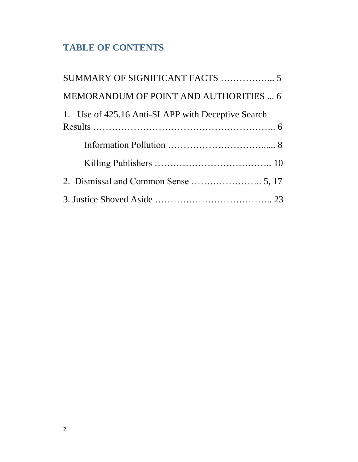# **TABLE OF CONTENTS**

| MEMORANDUM OF POINT AND AUTHORITIES  6            |
|---------------------------------------------------|
| 1. Use of 425.16 Anti-SLAPP with Deceptive Search |
|                                                   |
|                                                   |
|                                                   |
|                                                   |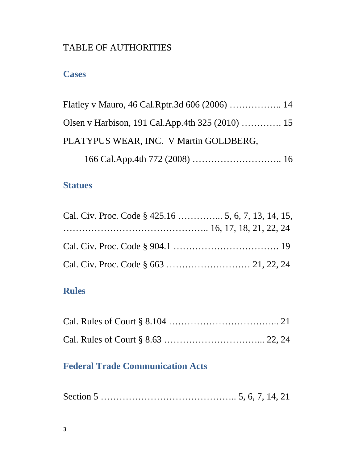# TABLE OF AUTHORITIES

## **Cases**

| PLATYPUS WEAR, INC. V Martin GOLDBERG, |  |
|----------------------------------------|--|
|                                        |  |

## **Statues**

# **Rules**

# **Federal Trade Communication Acts**

|--|--|--|--|--|--|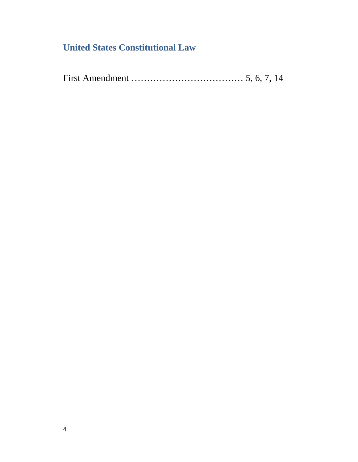# **United States Constitutional Law**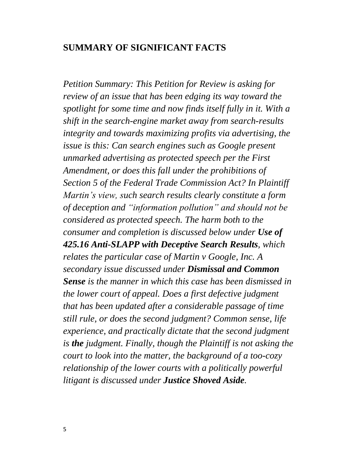### **SUMMARY OF SIGNIFICANT FACTS**

*Petition Summary: This Petition for Review is asking for review of an issue that has been edging its way toward the spotlight for some time and now finds itself fully in it. With a shift in the search-engine market away from search-results integrity and towards maximizing profits via advertising, the issue is this: Can search engines such as Google present unmarked advertising as protected speech per the First Amendment, or does this fall under the prohibitions of Section 5 of the Federal Trade Commission Act? In Plaintiff Martin's view, such search results clearly constitute a form of deception and "information pollution" and should not be considered as protected speech. The harm both to the consumer and completion is discussed below under Use of 425.16 Anti-SLAPP with Deceptive Search Results, which relates the particular case of Martin v Google, Inc. A secondary issue discussed under Dismissal and Common Sense is the manner in which this case has been dismissed in the lower court of appeal. Does a first defective judgment that has been updated after a considerable passage of time still rule, or does the second judgment? Common sense, life experience, and practically dictate that the second judgment is the judgment. Finally, though the Plaintiff is not asking the court to look into the matter, the background of a too-cozy relationship of the lower courts with a politically powerful litigant is discussed under Justice Shoved Aside.*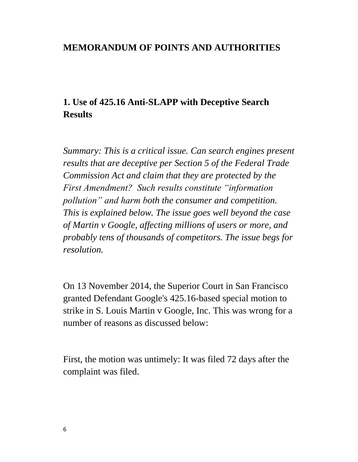### **MEMORANDUM OF POINTS AND AUTHORITIES**

# **1. Use of 425.16 Anti-SLAPP with Deceptive Search Results**

*Summary: This is a critical issue. Can search engines present results that are deceptive per Section 5 of the Federal Trade Commission Act and claim that they are protected by the First Amendment? Such results constitute "information pollution" and harm both the consumer and competition. This is explained below. The issue goes well beyond the case of Martin v Google, affecting millions of users or more, and probably tens of thousands of competitors. The issue begs for resolution.*

On 13 November 2014, the Superior Court in San Francisco granted Defendant Google's 425.16-based special motion to strike in S. Louis Martin v Google, Inc. This was wrong for a number of reasons as discussed below:

First, the motion was untimely: It was filed 72 days after the complaint was filed.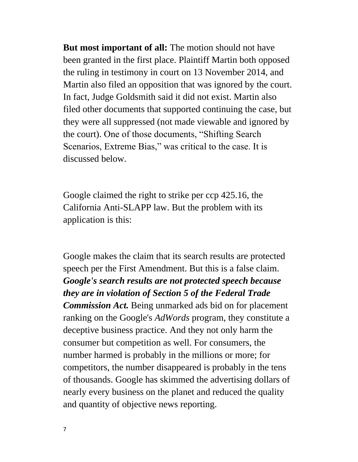**But most important of all:** The motion should not have been granted in the first place. Plaintiff Martin both opposed the ruling in testimony in court on 13 November 2014, and Martin also filed an opposition that was ignored by the court. In fact, Judge Goldsmith said it did not exist. Martin also filed other documents that supported continuing the case, but they were all suppressed (not made viewable and ignored by the court). One of those documents, "Shifting Search Scenarios, Extreme Bias," was critical to the case. It is discussed below.

Google claimed the right to strike per ccp 425.16, the California Anti-SLAPP law. But the problem with its application is this:

Google makes the claim that its search results are protected speech per the First Amendment. But this is a false claim. *Google's search results are not protected speech because they are in violation of Section 5 of the Federal Trade Commission Act.* Being unmarked ads bid on for placement ranking on the Google's *AdWords* program, they constitute a deceptive business practice. And they not only harm the consumer but competition as well. For consumers, the number harmed is probably in the millions or more; for competitors, the number disappeared is probably in the tens of thousands. Google has skimmed the advertising dollars of nearly every business on the planet and reduced the quality and quantity of objective news reporting.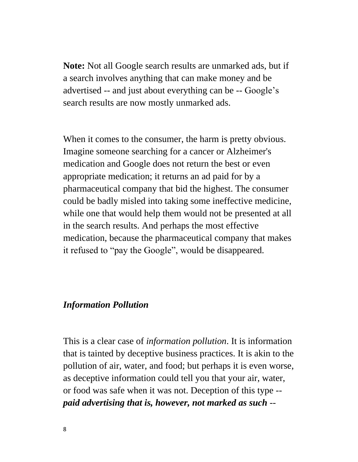**Note:** Not all Google search results are unmarked ads, but if a search involves anything that can make money and be advertised -- and just about everything can be -- Google's search results are now mostly unmarked ads.

When it comes to the consumer, the harm is pretty obvious. Imagine someone searching for a cancer or Alzheimer's medication and Google does not return the best or even appropriate medication; it returns an ad paid for by a pharmaceutical company that bid the highest. The consumer could be badly misled into taking some ineffective medicine, while one that would help them would not be presented at all in the search results. And perhaps the most effective medication, because the pharmaceutical company that makes it refused to "pay the Google", would be disappeared.

### *Information Pollution*

This is a clear case of *information pollution*. It is information that is tainted by deceptive business practices. It is akin to the pollution of air, water, and food; but perhaps it is even worse, as deceptive information could tell you that your air, water, or food was safe when it was not. Deception of this type - *paid advertising that is, however, not marked as such* --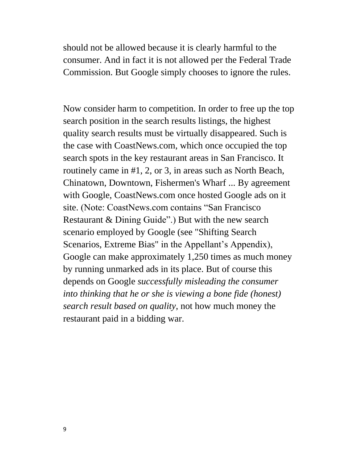should not be allowed because it is clearly harmful to the consumer. And in fact it is not allowed per the Federal Trade Commission. But Google simply chooses to ignore the rules.

Now consider harm to competition. In order to free up the top search position in the search results listings, the highest quality search results must be virtually disappeared. Such is the case with CoastNews.com, which once occupied the top search spots in the key restaurant areas in San Francisco. It routinely came in #1, 2, or 3, in areas such as North Beach, Chinatown, Downtown, Fishermen's Wharf ... By agreement with Google, CoastNews.com once hosted Google ads on it site. (Note: CoastNews.com contains "San Francisco Restaurant & Dining Guide".) But with the new search scenario employed by Google (see "Shifting Search Scenarios, Extreme Bias" in the Appellant's Appendix), Google can make approximately 1,250 times as much money by running unmarked ads in its place. But of course this depends on Google *successfully misleading the consumer into thinking that he or she is viewing a bone fide (honest) search result based on quality*, not how much money the restaurant paid in a bidding war.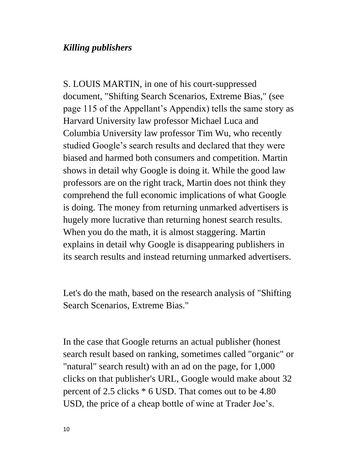### *Killing publishers*

S. LOUIS MARTIN, in one of his court-suppressed document, "Shifting Search Scenarios, Extreme Bias," (see page 115 of the Appellant's Appendix) tells the same story as Harvard University law professor Michael Luca and Columbia University law professor Tim Wu, who recently studied Google's search results and declared that they were biased and harmed both consumers and competition. Martin shows in detail why Google is doing it. While the good law professors are on the right track, Martin does not think they comprehend the full economic implications of what Google is doing. The money from returning unmarked advertisers is hugely more lucrative than returning honest search results. When you do the math, it is almost staggering. Martin explains in detail why Google is disappearing publishers in its search results and instead returning unmarked advertisers.

Let's do the math, based on the research analysis of "Shifting Search Scenarios, Extreme Bias."

In the case that Google returns an actual publisher (honest search result based on ranking, sometimes called "organic" or "natural" search result) with an ad on the page, for 1,000 clicks on that publisher's URL, Google would make about 32 percent of 2.5 clicks \* 6 USD. That comes out to be 4.80 USD, the price of a cheap bottle of wine at Trader Joe's.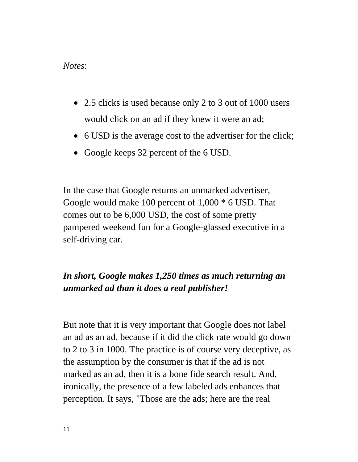### *Notes*:

- 2.5 clicks is used because only 2 to 3 out of 1000 users would click on an ad if they knew it were an ad;
- 6 USD is the average cost to the advertiser for the click;
- Google keeps 32 percent of the 6 USD.

In the case that Google returns an unmarked advertiser, Google would make 100 percent of 1,000 \* 6 USD. That comes out to be 6,000 USD, the cost of some pretty pampered weekend fun for a Google-glassed executive in a self-driving car.

# *In short, Google makes 1,250 times as much returning an unmarked ad than it does a real publisher!*

But note that it is very important that Google does not label an ad as an ad, because if it did the click rate would go down to 2 to 3 in 1000. The practice is of course very deceptive, as the assumption by the consumer is that if the ad is not marked as an ad, then it is a bone fide search result. And, ironically, the presence of a few labeled ads enhances that perception. It says, "Those are the ads; here are the real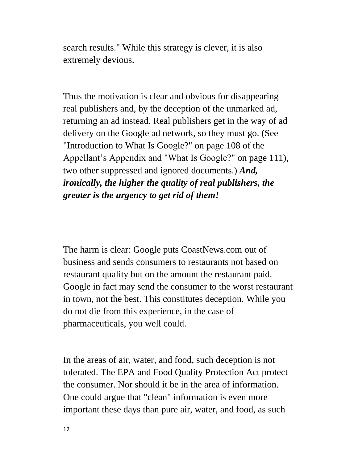search results." While this strategy is clever, it is also extremely devious.

Thus the motivation is clear and obvious for disappearing real publishers and, by the deception of the unmarked ad, returning an ad instead. Real publishers get in the way of ad delivery on the Google ad network, so they must go. (See "Introduction to What Is Google?" on page 108 of the Appellant's Appendix and "What Is Google?" on page 111), two other suppressed and ignored documents.) *And, ironically, the higher the quality of real publishers, the greater is the urgency to get rid of them!*

The harm is clear: Google puts CoastNews.com out of business and sends consumers to restaurants not based on restaurant quality but on the amount the restaurant paid. Google in fact may send the consumer to the worst restaurant in town, not the best. This constitutes deception. While you do not die from this experience, in the case of pharmaceuticals, you well could.

In the areas of air, water, and food, such deception is not tolerated. The EPA and Food Quality Protection Act protect the consumer. Nor should it be in the area of information. One could argue that "clean" information is even more important these days than pure air, water, and food, as such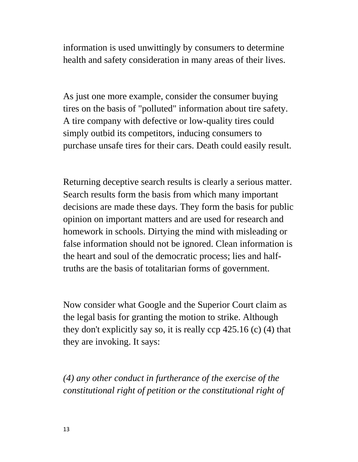information is used unwittingly by consumers to determine health and safety consideration in many areas of their lives.

As just one more example, consider the consumer buying tires on the basis of "polluted" information about tire safety. A tire company with defective or low-quality tires could simply outbid its competitors, inducing consumers to purchase unsafe tires for their cars. Death could easily result.

Returning deceptive search results is clearly a serious matter. Search results form the basis from which many important decisions are made these days. They form the basis for public opinion on important matters and are used for research and homework in schools. Dirtying the mind with misleading or false information should not be ignored. Clean information is the heart and soul of the democratic process; lies and halftruths are the basis of totalitarian forms of government.

Now consider what Google and the Superior Court claim as the legal basis for granting the motion to strike. Although they don't explicitly say so, it is really ccp 425.16 (c) (4) that they are invoking. It says:

*(4) any other conduct in furtherance of the exercise of the constitutional right of petition or the constitutional right of*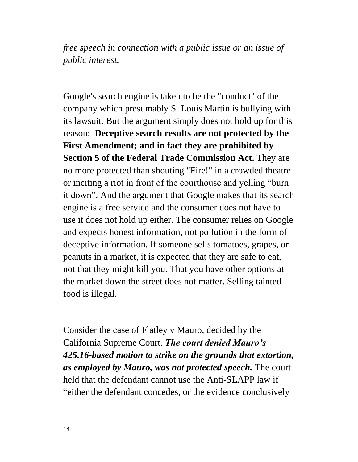*free speech in connection with a public issue or an issue of public interest.*

Google's search engine is taken to be the "conduct" of the company which presumably S. Louis Martin is bullying with its lawsuit. But the argument simply does not hold up for this reason: **Deceptive search results are not protected by the First Amendment; and in fact they are prohibited by Section 5 of the Federal Trade Commission Act.** They are no more protected than shouting "Fire!" in a crowded theatre or inciting a riot in front of the courthouse and yelling "burn it down". And the argument that Google makes that its search engine is a free service and the consumer does not have to use it does not hold up either. The consumer relies on Google and expects honest information, not pollution in the form of deceptive information. If someone sells tomatoes, grapes, or peanuts in a market, it is expected that they are safe to eat, not that they might kill you. That you have other options at the market down the street does not matter. Selling tainted food is illegal.

Consider the case of Flatley v Mauro, decided by the California Supreme Court. *The court denied Mauro's 425.16-based motion to strike on the grounds that extortion, as employed by Mauro, was not protected speech.* The court held that the defendant cannot use the Anti-SLAPP law if "either the defendant concedes, or the evidence conclusively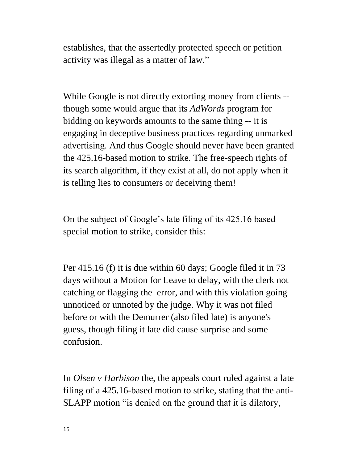establishes, that the assertedly protected speech or petition activity was illegal as a matter of law."

While Google is not directly extorting money from clients - though some would argue that its *AdWords* program for bidding on keywords amounts to the same thing -- it is engaging in deceptive business practices regarding unmarked advertising. And thus Google should never have been granted the 425.16-based motion to strike. The free-speech rights of its search algorithm, if they exist at all, do not apply when it is telling lies to consumers or deceiving them!

On the subject of Google's late filing of its 425.16 based special motion to strike, consider this:

Per 415.16 (f) it is due within 60 days; Google filed it in 73 days without a Motion for Leave to delay, with the clerk not catching or flagging the error, and with this violation going unnoticed or unnoted by the judge. Why it was not filed before or with the Demurrer (also filed late) is anyone's guess, though filing it late did cause surprise and some confusion.

In *Olsen v Harbison* the, the appeals court ruled against a late filing of a 425.16-based motion to strike, stating that the anti-SLAPP motion "is denied on the ground that it is dilatory,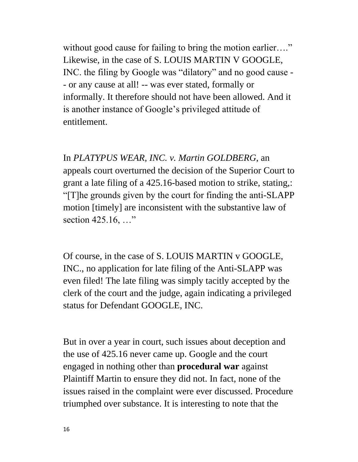without good cause for failing to bring the motion earlier...." Likewise, in the case of S. LOUIS MARTIN V GOOGLE, INC. the filing by Google was "dilatory" and no good cause - - or any cause at all! -- was ever stated, formally or informally. It therefore should not have been allowed. And it is another instance of Google's privileged attitude of entitlement.

In *PLATYPUS WEAR, INC. v. Martin GOLDBERG*, an appeals court overturned the decision of the Superior Court to grant a late filing of a 425.16-based motion to strike, stating,: "[T]he grounds given by the court for finding the anti-SLAPP motion [timely] are inconsistent with the substantive law of section 425.16, ..."

Of course, in the case of S. LOUIS MARTIN v GOOGLE, INC., no application for late filing of the Anti-SLAPP was even filed! The late filing was simply tacitly accepted by the clerk of the court and the judge, again indicating a privileged status for Defendant GOOGLE, INC.

But in over a year in court, such issues about deception and the use of 425.16 never came up. Google and the court engaged in nothing other than **procedural war** against Plaintiff Martin to ensure they did not. In fact, none of the issues raised in the complaint were ever discussed. Procedure triumphed over substance. It is interesting to note that the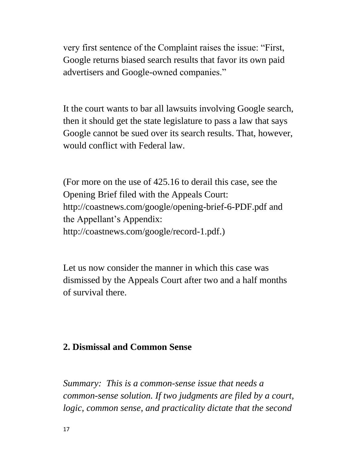very first sentence of the Complaint raises the issue: "First, Google returns biased search results that favor its own paid advertisers and Google-owned companies."

It the court wants to bar all lawsuits involving Google search, then it should get the state legislature to pass a law that says Google cannot be sued over its search results. That, however, would conflict with Federal law.

(For more on the use of 425.16 to derail this case, see the Opening Brief filed with the Appeals Court: http://coastnews.com/google/opening-brief-6-PDF.pdf and the Appellant's Appendix: http://coastnews.com/google/record-1.pdf.)

Let us now consider the manner in which this case was dismissed by the Appeals Court after two and a half months of survival there.

# **2. Dismissal and Common Sense**

*Summary: This is a common-sense issue that needs a common-sense solution. If two judgments are filed by a court, logic, common sense, and practicality dictate that the second*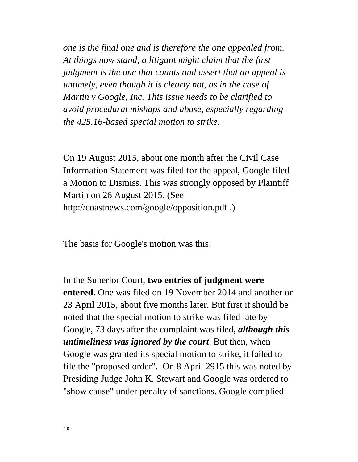*one is the final one and is therefore the one appealed from. At things now stand, a litigant might claim that the first judgment is the one that counts and assert that an appeal is untimely, even though it is clearly not, as in the case of Martin v Google, Inc. This issue needs to be clarified to avoid procedural mishaps and abuse, especially regarding the 425.16-based special motion to strike.*

On 19 August 2015, about one month after the Civil Case Information Statement was filed for the appeal, Google filed a Motion to Dismiss. This was strongly opposed by Plaintiff Martin on 26 August 2015. (See http://coastnews.com/google/opposition.pdf .)

The basis for Google's motion was this:

In the Superior Court, **two entries of judgment were entered**. One was filed on 19 November 2014 and another on 23 April 2015, about five months later. But first it should be noted that the special motion to strike was filed late by Google, 73 days after the complaint was filed, *although this untimeliness was ignored by the court*. But then, when Google was granted its special motion to strike, it failed to file the "proposed order". On 8 April 2915 this was noted by Presiding Judge John K. Stewart and Google was ordered to "show cause" under penalty of sanctions. Google complied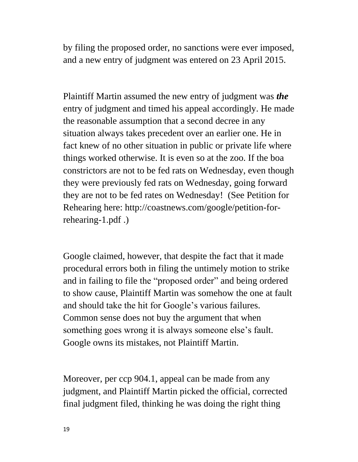by filing the proposed order, no sanctions were ever imposed, and a new entry of judgment was entered on 23 April 2015.

Plaintiff Martin assumed the new entry of judgment was *the* entry of judgment and timed his appeal accordingly. He made the reasonable assumption that a second decree in any situation always takes precedent over an earlier one. He in fact knew of no other situation in public or private life where things worked otherwise. It is even so at the zoo. If the boa constrictors are not to be fed rats on Wednesday, even though they were previously fed rats on Wednesday, going forward they are not to be fed rates on Wednesday! (See Petition for Rehearing here: http://coastnews.com/google/petition-forrehearing-1.pdf .)

Google claimed, however, that despite the fact that it made procedural errors both in filing the untimely motion to strike and in failing to file the "proposed order" and being ordered to show cause, Plaintiff Martin was somehow the one at fault and should take the hit for Google's various failures. Common sense does not buy the argument that when something goes wrong it is always someone else's fault. Google owns its mistakes, not Plaintiff Martin.

Moreover, per ccp 904.1, appeal can be made from any judgment, and Plaintiff Martin picked the official, corrected final judgment filed, thinking he was doing the right thing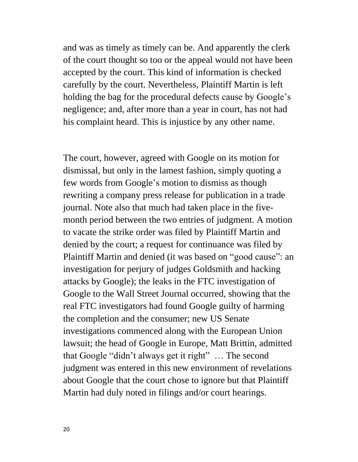and was as timely as timely can be. And apparently the clerk of the court thought so too or the appeal would not have been accepted by the court. This kind of information is checked carefully by the court. Nevertheless, Plaintiff Martin is left holding the bag for the procedural defects cause by Google's negligence; and, after more than a year in court, has not had his complaint heard. This is injustice by any other name.

The court, however, agreed with Google on its motion for dismissal, but only in the lamest fashion, simply quoting a few words from Google's motion to dismiss as though rewriting a company press release for publication in a trade journal. Note also that much had taken place in the fivemonth period between the two entries of judgment. A motion to vacate the strike order was filed by Plaintiff Martin and denied by the court; a request for continuance was filed by Plaintiff Martin and denied (it was based on "good cause": an investigation for perjury of judges Goldsmith and hacking attacks by Google); the leaks in the FTC investigation of Google to the Wall Street Journal occurred, showing that the real FTC investigators had found Google guilty of harming the completion and the consumer; new US Senate investigations commenced along with the European Union lawsuit; the head of Google in Europe, Matt Brittin, admitted that Google "didn't always get it right" … The second judgment was entered in this new environment of revelations about Google that the court chose to ignore but that Plaintiff Martin had duly noted in filings and/or court hearings.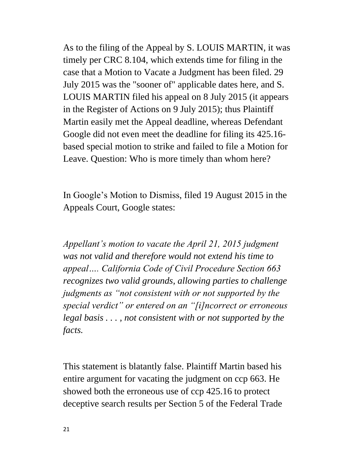As to the filing of the Appeal by S. LOUIS MARTIN, it was timely per CRC 8.104, which extends time for filing in the case that a Motion to Vacate a Judgment has been filed. 29 July 2015 was the "sooner of" applicable dates here, and S. LOUIS MARTIN filed his appeal on 8 July 2015 (it appears in the Register of Actions on 9 July 2015); thus Plaintiff Martin easily met the Appeal deadline, whereas Defendant Google did not even meet the deadline for filing its 425.16 based special motion to strike and failed to file a Motion for Leave. Question: Who is more timely than whom here?

In Google's Motion to Dismiss, filed 19 August 2015 in the Appeals Court, Google states:

*Appellant's motion to vacate the April 21, 2015 judgment was not valid and therefore would not extend his time to appeal…. California Code of Civil Procedure Section 663 recognizes two valid grounds, allowing parties to challenge judgments as "not consistent with or not supported by the special verdict" or entered on an "[i]ncorrect or erroneous legal basis . . . , not consistent with or not supported by the facts.*

This statement is blatantly false. Plaintiff Martin based his entire argument for vacating the judgment on ccp 663. He showed both the erroneous use of ccp 425.16 to protect deceptive search results per Section 5 of the Federal Trade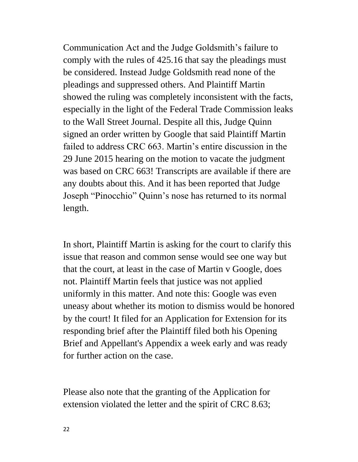Communication Act and the Judge Goldsmith's failure to comply with the rules of 425.16 that say the pleadings must be considered. Instead Judge Goldsmith read none of the pleadings and suppressed others. And Plaintiff Martin showed the ruling was completely inconsistent with the facts, especially in the light of the Federal Trade Commission leaks to the Wall Street Journal. Despite all this, Judge Quinn signed an order written by Google that said Plaintiff Martin failed to address CRC 663. Martin's entire discussion in the 29 June 2015 hearing on the motion to vacate the judgment was based on CRC 663! Transcripts are available if there are any doubts about this. And it has been reported that Judge Joseph "Pinocchio" Quinn's nose has returned to its normal length.

In short, Plaintiff Martin is asking for the court to clarify this issue that reason and common sense would see one way but that the court, at least in the case of Martin v Google, does not. Plaintiff Martin feels that justice was not applied uniformly in this matter. And note this: Google was even uneasy about whether its motion to dismiss would be honored by the court! It filed for an Application for Extension for its responding brief after the Plaintiff filed both his Opening Brief and Appellant's Appendix a week early and was ready for further action on the case.

Please also note that the granting of the Application for extension violated the letter and the spirit of CRC 8.63;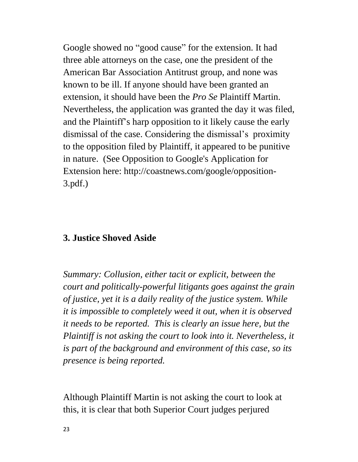Google showed no "good cause" for the extension. It had three able attorneys on the case, one the president of the American Bar Association Antitrust group, and none was known to be ill. If anyone should have been granted an extension, it should have been the *Pro Se* Plaintiff Martin. Nevertheless, the application was granted the day it was filed, and the Plaintiff's harp opposition to it likely cause the early dismissal of the case. Considering the dismissal's proximity to the opposition filed by Plaintiff, it appeared to be punitive in nature. (See Opposition to Google's Application for Extension here: http://coastnews.com/google/opposition-3.pdf.)

### **3. Justice Shoved Aside**

*Summary: Collusion, either tacit or explicit, between the court and politically-powerful litigants goes against the grain of justice, yet it is a daily reality of the justice system. While it is impossible to completely weed it out, when it is observed it needs to be reported. This is clearly an issue here, but the Plaintiff is not asking the court to look into it. Nevertheless, it is part of the background and environment of this case, so its presence is being reported.*

Although Plaintiff Martin is not asking the court to look at this, it is clear that both Superior Court judges perjured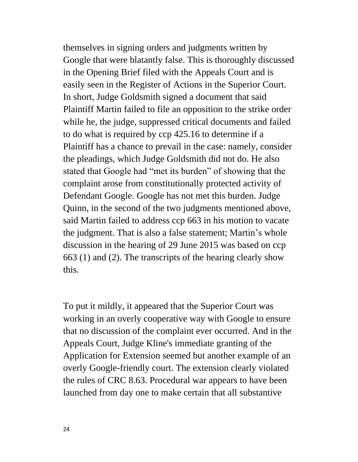themselves in signing orders and judgments written by Google that were blatantly false. This is thoroughly discussed in the Opening Brief filed with the Appeals Court and is easily seen in the Register of Actions in the Superior Court. In short, Judge Goldsmith signed a document that said Plaintiff Martin failed to file an opposition to the strike order while he, the judge, suppressed critical documents and failed to do what is required by ccp 425.16 to determine if a Plaintiff has a chance to prevail in the case: namely, consider the pleadings, which Judge Goldsmith did not do. He also stated that Google had "met its burden" of showing that the complaint arose from constitutionally protected activity of Defendant Google. Google has not met this burden. Judge Quinn, in the second of the two judgments mentioned above, said Martin failed to address ccp 663 in his motion to vacate the judgment. That is also a false statement; Martin's whole discussion in the hearing of 29 June 2015 was based on ccp 663 (1) and (2). The transcripts of the hearing clearly show this.

To put it mildly, it appeared that the Superior Court was working in an overly cooperative way with Google to ensure that no discussion of the complaint ever occurred. And in the Appeals Court, Judge Kline's immediate granting of the Application for Extension seemed but another example of an overly Google-friendly court. The extension clearly violated the rules of CRC 8.63. Procedural war appears to have been launched from day one to make certain that all substantive